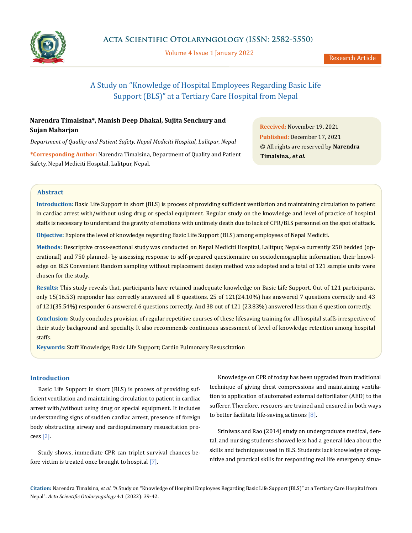

Volume 4 Issue 1 January 2022

# A Study on "Knowledge of Hospital Employees Regarding Basic Life Support (BLS)" at a Tertiary Care Hospital from Nepal

## **Narendra Timalsina\*, Manish Deep Dhakal, Sujita Senchury and Sujan Maharjan**

*Department of Quality and Patient Safety, Nepal Mediciti Hospital, Lalitpur, Nepal*

**\*Corresponding Author:** Narendra Timalsina, Department of Quality and Patient Safety, Nepal Mediciti Hospital, Lalitpur, Nepal.

**Received:** November 19, 2021 **Published:** December 17, 2021 © All rights are reserved by **Narendra Timalsina***., et al.*

### **Abstract**

**Introduction:** Basic Life Support in short (BLS) is process of providing sufficient ventilation and maintaining circulation to patient in cardiac arrest with/without using drug or special equipment. Regular study on the knowledge and level of practice of hospital staffs is necessary to understand the gravity of emotions with untimely death due to lack of CPR/BLS personnel on the spot of attack.

**Objective:** Explore the level of knowledge regarding Basic Life Support (BLS) among employees of Nepal Mediciti.

**Methods:** Descriptive cross-sectional study was conducted on Nepal Mediciti Hospital, Lalitpur, Nepal-a currently 250 bedded (operational) and 750 planned- by assessing response to self-prepared questionnaire on sociodemographic information, their knowledge on BLS Convenient Random sampling without replacement design method was adopted and a total of 121 sample units were chosen for the study.

**Results:** This study reveals that, participants have retained inadequate knowledge on Basic Life Support. Out of 121 participants, only 15(16.53) responder has correctly answered all 8 questions. 25 of 121(24.10%) has answered 7 questions correctly and 43 of 121(35.54%) responder 6 answered 6 questions correctly. And 38 out of 121 (23.83%) answered less than 6 question correctly.

**Conclusion:** Study concludes provision of regular repetitive courses of these lifesaving training for all hospital staffs irrespective of their study background and specialty. It also recommends continuous assessment of level of knowledge retention among hospital staffs.

**Keywords:** Staff Knowledge; Basic Life Support; Cardio Pulmonary Resuscitation

#### **Introduction**

Basic Life Support in short (BLS) is process of providing sufficient ventilation and maintaining circulation to patient in cardiac arrest with/without using drug or special equipment. It includes understanding signs of sudden cardiac arrest, presence of foreign body obstructing airway and cardiopulmonary resuscitation process [2].

Study shows, immediate CPR can triplet survival chances before victim is treated once brought to hospital [7].

Knowledge on CPR of today has been upgraded from traditional technique of giving chest compressions and maintaining ventilation to application of automated external defibrillator (AED) to the sufferer. Therefore, rescuers are trained and ensured in both ways to better facilitate life-saving actinons  $[8]$ .

Sriniwas and Rao (2014) study on undergraduate medical, dental, and nursing students showed less had a general idea about the skills and techniques used in BLS. Students lack knowledge of cognitive and practical skills for responding real life emergency situa-

**Citation:** Narendra Timalsina*, et al.* "A Study on "Knowledge of Hospital Employees Regarding Basic Life Support (BLS)" at a Tertiary Care Hospital from Nepal". *Acta Scientific Otolaryngology* 4.1 (2022): 39-42.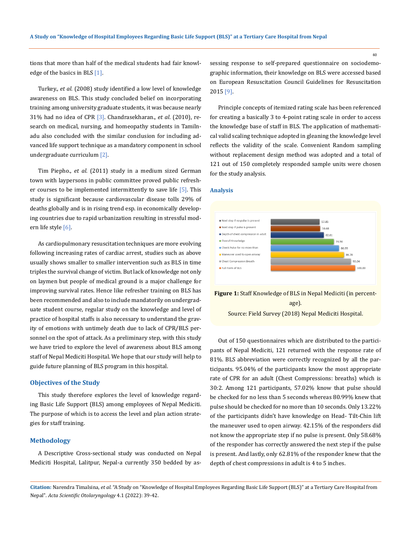tions that more than half of the medical students had fair knowledge of the basics in BLS [1].

Turkey., *et al*. (2008) study identified a low level of knowledge awareness on BLS. This study concluded belief on incorporating training among university graduate students, it was because nearly 31% had no idea of CPR [3]. Chandrasekharan., *et al*. (2010), research on medical, nursing, and homeopathy students in Tamilnadu also concluded with the similar conclusion for including advanced life support technique as a mandatory component in school undergraduate curriculum [2].

Tim Piepho., *et al.* (2011) study in a medium sized German town with laypersons in public committee proved public refresher courses to be implemented intermittently to save life  $\lceil 5 \rceil$ . This study is significant because cardiovascular disease tolls 29% of deaths globally and is in rising trend esp. in economically developing countries due to rapid urbanization resulting in stressful modern life style [6].

As cardiopulmonary resuscitation techniques are more evolving following increasing rates of cardiac arrest, studies such as above usually shows smaller to smaller intervention such as BLS in time triples the survival change of victim. But lack of knowledge not only on laymen but people of medical ground is a major challenge for improving survival rates. Hence like refresher training on BLS has been recommended and also to include mandatorily on undergraduate student course, regular study on the knowledge and level of practice of hospital staffs is also necessary to understand the gravity of emotions with untimely death due to lack of CPR/BLS personnel on the spot of attack. As a preliminary step, with this study we have tried to explore the level of awareness about BLS among staff of Nepal Mediciti Hospital. We hope that our study will help to guide future planning of BLS program in this hospital.

#### **Objectives of the Study**

This study therefore explores the level of knowledge regarding Basic Life Support (BLS) among employees of Nepal Mediciti. The purpose of which is to access the level and plan action strategies for staff training.

#### **Methodology**

A Descriptive Cross-sectional study was conducted on Nepal Mediciti Hospital, Lalitpur, Nepal-a currently 350 bedded by assessing response to self-prepared questionnaire on sociodemographic information, their knowledge on BLS were accessed based on European Resuscitation Council Guidelines for Resuscitation 2015 [9].

Principle concepts of itemized rating scale has been referenced for creating a basically 3 to 4-point rating scale in order to access the knowledge base of staff in BLS. The application of mathematical valid scaling technique adopted in gleaning the knowledge level reflects the validity of the scale. Convenient Random sampling without replacement design method was adopted and a total of 121 out of 150 completely responded sample units were chosen for the study analysis.

#### **Analysis**



**Figure 1:** Staff Knowledge of BLS in Nepal Mediciti (in percentage).

Source: Field Survey (2018) Nepal Mediciti Hospital.

Out of 150 questionnaires which are distributed to the participants of Nepal Mediciti, 121 returned with the response rate of 81%. BLS abbreviation were correctly recognized by all the participants. 95.04% of the participants know the most appropriate rate of CPR for an adult (Chest Compressions: breaths) which is 30:2. Among 121 participants, 57.02% know that pulse should be checked for no less than 5 seconds whereas 80.99% knew that pulse should be checked for no more than 10 seconds. Only 13.22% of the participants didn't have knowledge on Head- Tilt-Chin lift the maneuver used to open airway. 42.15% of the responders did not know the appropriate step if no pulse is present. Only 58.68% of the responder has correctly answered the next step if the pulse is present. And lastly, only 62.81% of the responder knew that the depth of chest compressions in adult is 4 to 5 inches.

**Citation:** Narendra Timalsina*, et al.* "A Study on "Knowledge of Hospital Employees Regarding Basic Life Support (BLS)" at a Tertiary Care Hospital from Nepal". *Acta Scientific Otolaryngology* 4.1 (2022): 39-42.

40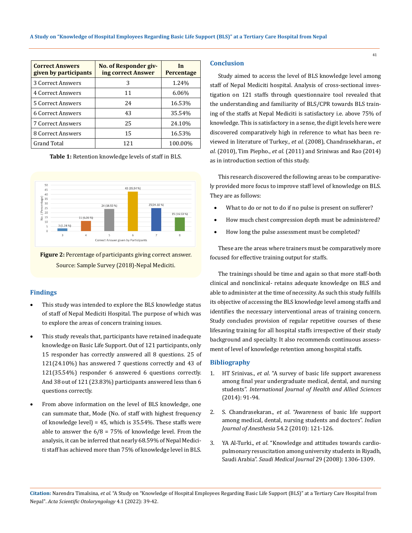| <b>Correct Answers</b><br>given by participants | No. of Responder giv-<br>ing correct Answer | In<br>Percentage |
|-------------------------------------------------|---------------------------------------------|------------------|
| 3 Correct Answers                               | 3                                           | 1.24%            |
| 4 Correct Answers                               | 11                                          | $6.06\%$         |
| 5 Correct Answers                               | 24                                          | 16.53%           |
| 6 Correct Answers                               | 43                                          | 35.54%           |
| <b>7 Correct Answers</b>                        | 25                                          | 24.10%           |
| 8 Correct Answers                               | 15                                          | 16.53%           |
| <b>Grand Total</b>                              | 121                                         | 100.00%          |

**Table 1:** Retention knowledge levels of staff in BLS.



**Figure 2:** Percentage of participants giving correct answer. Source: Sample Survey (2018)-Nepal Mediciti.

#### **Findings**

- This study was intended to explore the BLS knowledge status of staff of Nepal Mediciti Hospital. The purpose of which was to explore the areas of concern training issues.
- This study reveals that, participants have retained inadequate knowledge on Basic Life Support. Out of 121 participants, only 15 responder has correctly answered all 8 questions. 25 of 121(24.10%) has answered 7 questions correctly and 43 of 121(35.54%) responder 6 answered 6 questions correctly. And 38 out of 121 (23.83%) participants answered less than 6 questions correctly.
- From above information on the level of BLS knowledge, one can summate that, Mode (No. of staff with highest frequency of knowledge level) = 45, which is 35.54%. These staffs were able to answer the  $6/8 = 75\%$  of knowledge level. From the analysis, it can be inferred that nearly 68.59% of Nepal Mediciti staff has achieved more than 75% of knowledge level in BLS.

### **Conclusion**

Study aimed to access the level of BLS knowledge level among staff of Nepal Mediciti hospital. Analysis of cross-sectional investigation on 121 staffs through questionnaire tool revealed that the understanding and familiarity of BLS/CPR towards BLS training of the staffs at Nepal Mediciti is satisfactory i.e. above 75% of knowledge. This is satisfactory in a sense, the digit levels here were discovered comparatively high in reference to what has been reviewed in literature of Turkey., *et al.* (2008), Chandrasekharan., *et al.* (2010), Tim Piepho., *et al.* (2011) and Sriniwas and Rao (2014) as in introduction section of this study.

This research discovered the following areas to be comparatively provided more focus to improve staff level of knowledge on BLS. They are as follows:

- What to do or not to do if no pulse is present on sufferer?
- How much chest compression depth must be administered?
- How long the pulse assessment must be completed?

These are the areas where trainers must be comparatively more focused for effective training output for staffs.

The trainings should be time and again so that more staff-both clinical and nonclinical- retains adequate knowledge on BLS and able to administer at the time of necessity. As such this study fulfills its objective of accessing the BLS knowledge level among staffs and identifies the necessary interventional areas of training concern. Study concludes provision of regular repetitive courses of these lifesaving training for all hospital staffs irrespective of their study background and specialty. It also recommends continuous assessment of level of knowledge retention among hospital staffs.

#### **Bibliography**

- 1. HT Srinivas., *et al*[. "A survey of basic life support awareness](https://www.ijhas.in/article.asp?issn=2278-344X;year=2014;volume=3;issue=2;spage=91;epage=94;aulast=Srinivas)  [among final year undergraduate medical, dental, and nursing](https://www.ijhas.in/article.asp?issn=2278-344X;year=2014;volume=3;issue=2;spage=91;epage=94;aulast=Srinivas)  students". *[International Journal of Health and Allied Sciences](https://www.ijhas.in/article.asp?issn=2278-344X;year=2014;volume=3;issue=2;spage=91;epage=94;aulast=Srinivas)*  [\(2014\): 91-94.](https://www.ijhas.in/article.asp?issn=2278-344X;year=2014;volume=3;issue=2;spage=91;epage=94;aulast=Srinivas)
- 2. S. Chandrasekaran., *et al*[. "Awareness of basic life support](https://pubmed.ncbi.nlm.nih.gov/20661349/)  [among medical, dental, nursing students and doctors".](https://pubmed.ncbi.nlm.nih.gov/20661349/) *Indian [Journal of Anesthesia](https://pubmed.ncbi.nlm.nih.gov/20661349/)* 54.2 (2010): 121-126.
- 3. YA Al-Turki., *et al*[. "Knowledge and attitudes towards cardio](https://pubmed.ncbi.nlm.nih.gov/18813417/)[pulmonary resuscitation among university students in Riyadh,](https://pubmed.ncbi.nlm.nih.gov/18813417/)  Saudi Arabia". *[Saudi Medical Journal](https://pubmed.ncbi.nlm.nih.gov/18813417/)* 29 (2008): 1306-1309.

**Citation:** Narendra Timalsina*, et al.* "A Study on "Knowledge of Hospital Employees Regarding Basic Life Support (BLS)" at a Tertiary Care Hospital from Nepal". *Acta Scientific Otolaryngology* 4.1 (2022): 39-42.

41